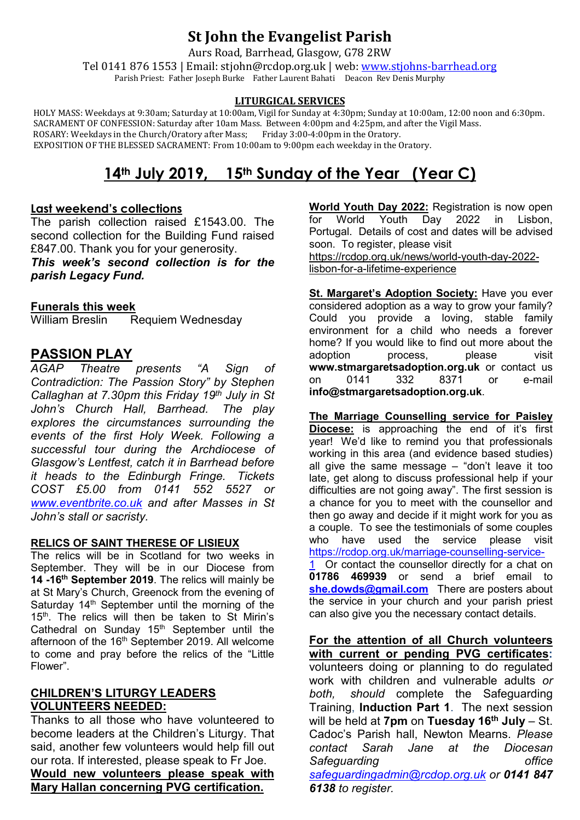## **St John the Evangelist Parish**

Aurs Road, Barrhead, Glasgow, G78 2RW

Tel 0141 876 1553 | Email: stjohn@rcdop.org.uk | web: [www.stjohns-barrhead.org](http://www.stjohns-barrhead.org/) Parish Priest: Father Joseph Burke Father Laurent Bahati Deacon Rev Denis Murphy

#### **LITURGICAL SERVICES**

 HOLY MASS: Weekdays at 9:30am; Saturday at 10:00am, Vigil for Sunday at 4:30pm; Sunday at 10:00am, 12:00 noon and 6:30pm. SACRAMENT OF CONFESSION: Saturday after 10am Mass. Between 4:00pm and 4:25pm, and after the Vigil Mass. ROSARY: Weekdays in the Church/Oratory after Mass; Friday 3:00-4:00pm in the Oratory. EXPOSITION OF THE BLESSED SACRAMENT: From 10:00am to 9:00pm each weekday in the Oratory.

# **14th July 2019, 15th Sunday of the Year (Year C)**

#### **Last weekend's collections**

The parish collection raised £1543.00. The second collection for the Building Fund raised £847.00. Thank you for your generosity.

*This week's second collection is for the parish Legacy Fund.*

# **Funerals this week**

Requiem Wednesday

# **PASSION PLAY**

*Theatre presents "A Sign of Contradiction: The Passion Story" by Stephen Callaghan at 7.30pm this Friday 19th July in St John's Church Hall, Barrhead. The play explores the circumstances surrounding the events of the first Holy Week. Following a successful tour during the Archdiocese of Glasgow's Lentfest, catch it in Barrhead before it heads to the Edinburgh Fringe. Tickets COST £5.00 from 0141 552 5527 or [www.eventbrite.co.uk](http://www.eventbrite.co.uk/) and after Masses in St John's stall or sacristy.*

#### **RELICS OF SAINT THERESE OF LISIEUX**

The relics will be in Scotland for two weeks in September. They will be in our Diocese from **14 -16th September 2019**. The relics will mainly be at St Mary's Church, Greenock from the evening of Saturday  $14<sup>th</sup>$  September until the morning of the 15<sup>th</sup>. The relics will then be taken to St Mirin's Cathedral on Sunday  $15<sup>th</sup>$  September until the afternoon of the 16<sup>th</sup> September 2019. All welcome to come and pray before the relics of the "Little Flower".

#### **CHILDREN'S LITURGY LEADERS VOLUNTEERS NEEDED:**

Thanks to all those who have volunteered to become leaders at the Children's Liturgy. That said, another few volunteers would help fill out our rota. If interested, please speak to Fr Joe. **Would new volunteers please speak with Mary Hallan concerning PVG certification.**

**World Youth Day 2022:** Registration is now open Lisbon. Portugal. Details of cost and dates will be advised soon. To register, please visit [https://rcdop.org.uk/news/world-youth-day-2022](https://rcdop.org.uk/news/world-youth-day-2022-lisbon-for-a-lifetime-experience) [lisbon-for-a-lifetime-experience](https://rcdop.org.uk/news/world-youth-day-2022-lisbon-for-a-lifetime-experience)

**St. Margaret's Adoption Society:** Have you ever considered adoption as a way to grow your family? Could you provide a loving, stable family environment for a child who needs a forever home? If you would like to find out more about the adoption process, please visit **[www.stmargaretsadoption.org.uk](http://www.stmargaretsadoption.org.uk/)** or contact us on 0141 332 8371 or e-mail **[info@stmargaretsadoption.org.uk](mailto:INFO@STMARGARETSADOPTION.ORG.UK)**.

**The Marriage Counselling service for Paisley Diocese:** is approaching the end of it's first year! We'd like to remind you that professionals working in this area (and evidence based studies) all give the same message – "don't leave it too late, get along to discuss professional help if your difficulties are not going away". The first session is a chance for you to meet with the counsellor and then go away and decide if it might work for you as a couple. To see the testimonials of some couples who have used the service please visit [https://rcdop.org.uk/marriage-counselling-service-](https://rcdop.org.uk/marriage-counselling-service-1)Or contact the counsellor directly for a chat on **01786 469939** or send a brief email to [she.dowds@gmail.com](mailto:she.dowds@gmail.com) There are posters about the service in your church and your parish priest can also give you the necessary contact details.

**For the attention of all Church volunteers with current or pending PVG certificates:** volunteers doing or planning to do regulated work with children and vulnerable adults *or both, should* complete the Safeguarding Training, **Induction Part 1**. The next session will be held at **7pm** on **Tuesday 16th July** – St. Cadoc's Parish hall, Newton Mearns. *Please contact Sarah Jane at the Diocesan Safeguarding office [safeguardingadmin@rcdop.org.uk](mailto:safeguardingadmin@rcdop.org.uk) or 0141 847 6138 to register.*